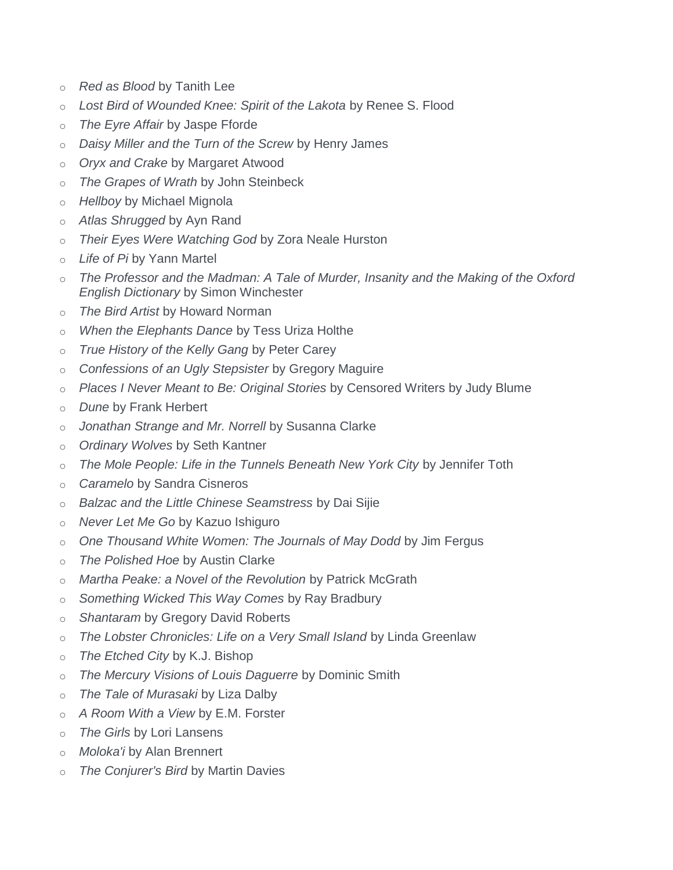- o *Red as Blood* by Tanith Lee
- o *Lost Bird of Wounded Knee: Spirit of the Lakota* by Renee S. Flood
- o *The Eyre Affair* by Jaspe Fforde
- o *Daisy Miller and the Turn of the Screw* by Henry James
- o *Oryx and Crake* by Margaret Atwood
- o *The Grapes of Wrath* by John Steinbeck
- o *Hellboy* by Michael Mignola
- o *Atlas Shrugged* by Ayn Rand
- o *Their Eyes Were Watching God* by Zora Neale Hurston
- o *Life of Pi* by Yann Martel
- o *The Professor and the Madman: A Tale of Murder, Insanity and the Making of the Oxford English Dictionary* by Simon Winchester
- o *The Bird Artist* by Howard Norman
- o *When the Elephants Dance* by Tess Uriza Holthe
- o *True History of the Kelly Gang* by Peter Carey
- o *Confessions of an Ugly Stepsister* by Gregory Maguire
- o *Places I Never Meant to Be: Original Stories* by Censored Writers by Judy Blume
- o *Dune* by Frank Herbert
- o *Jonathan Strange and Mr. Norrell* by Susanna Clarke
- o *Ordinary Wolves* by Seth Kantner
- o *The Mole People: Life in the Tunnels Beneath New York City* by Jennifer Toth
- o *Caramelo* by Sandra Cisneros
- o *Balzac and the Little Chinese Seamstress* by Dai Sijie
- o *Never Let Me Go* by Kazuo Ishiguro
- o *One Thousand White Women: The Journals of May Dodd* by Jim Fergus
- o *The Polished Hoe* by Austin Clarke
- o *Martha Peake: a Novel of the Revolution* by Patrick McGrath
- o *Something Wicked This Way Comes* by Ray Bradbury
- o *Shantaram* by Gregory David Roberts
- o *The Lobster Chronicles: Life on a Very Small Island* by Linda Greenlaw
- o *The Etched City* by K.J. Bishop
- o *The Mercury Visions of Louis Daguerre* by Dominic Smith
- o *The Tale of Murasaki* by Liza Dalby
- o *A Room With a View* by E.M. Forster
- o *The Girls* by Lori Lansens
- o *Moloka'i* by Alan Brennert
- o *The Conjurer's Bird* by Martin Davies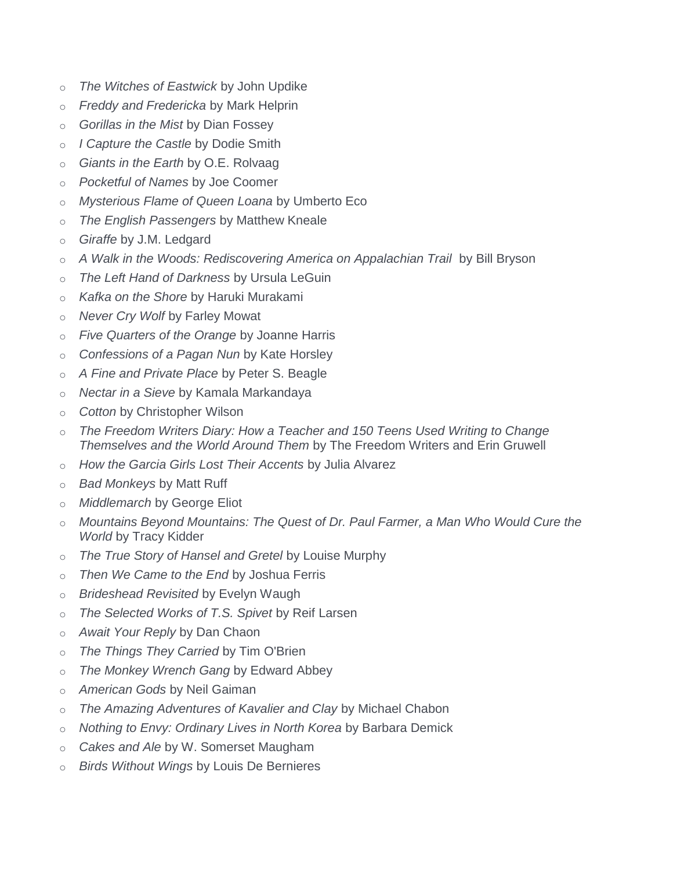- o *The Witches of Eastwick* by John Updike
- o *Freddy and Fredericka* by Mark Helprin
- o *Gorillas in the Mist* by Dian Fossey
- o *I Capture the Castle* by Dodie Smith
- o *Giants in the Earth* by O.E. Rolvaag
- o *Pocketful of Names* by Joe Coomer
- o *Mysterious Flame of Queen Loana* by Umberto Eco
- o *The English Passengers* by Matthew Kneale
- o *Giraffe* by J.M. Ledgard
- o *A Walk in the Woods: Rediscovering America on Appalachian Trail* by Bill Bryson
- o *The Left Hand of Darkness* by Ursula LeGuin
- o *Kafka on the Shore* by Haruki Murakami
- o *Never Cry Wolf* by Farley Mowat
- o *Five Quarters of the Orange* by Joanne Harris
- o *Confessions of a Pagan Nun* by Kate Horsley
- o *A Fine and Private Place* by Peter S. Beagle
- o *Nectar in a Sieve* by Kamala Markandaya
- o *Cotton* by Christopher Wilson
- o *The Freedom Writers Diary: How a Teacher and 150 Teens Used Writing to Change Themselves and the World Around Them* by The Freedom Writers and Erin Gruwell
- o *How the Garcia Girls Lost Their Accents* by Julia Alvarez
- o *Bad Monkeys* by Matt Ruff
- o *Middlemarch* by George Eliot
- o *Mountains Beyond Mountains: The Quest of Dr. Paul Farmer, a Man Who Would Cure the World* by Tracy Kidder
- o *The True Story of Hansel and Gretel* by Louise Murphy
- o *Then We Came to the End* by Joshua Ferris
- o *Brideshead Revisited* by Evelyn Waugh
- o *The Selected Works of T.S. Spivet* by Reif Larsen
- o *Await Your Reply* by Dan Chaon
- o *The Things They Carried* by Tim O'Brien
- o *The Monkey Wrench Gang* by Edward Abbey
- o *American Gods* by Neil Gaiman
- o *The Amazing Adventures of Kavalier and Clay* by Michael Chabon
- o *Nothing to Envy: Ordinary Lives in North Korea* by Barbara Demick
- o *Cakes and Ale* by W. Somerset Maugham
- o *Birds Without Wings* by Louis De Bernieres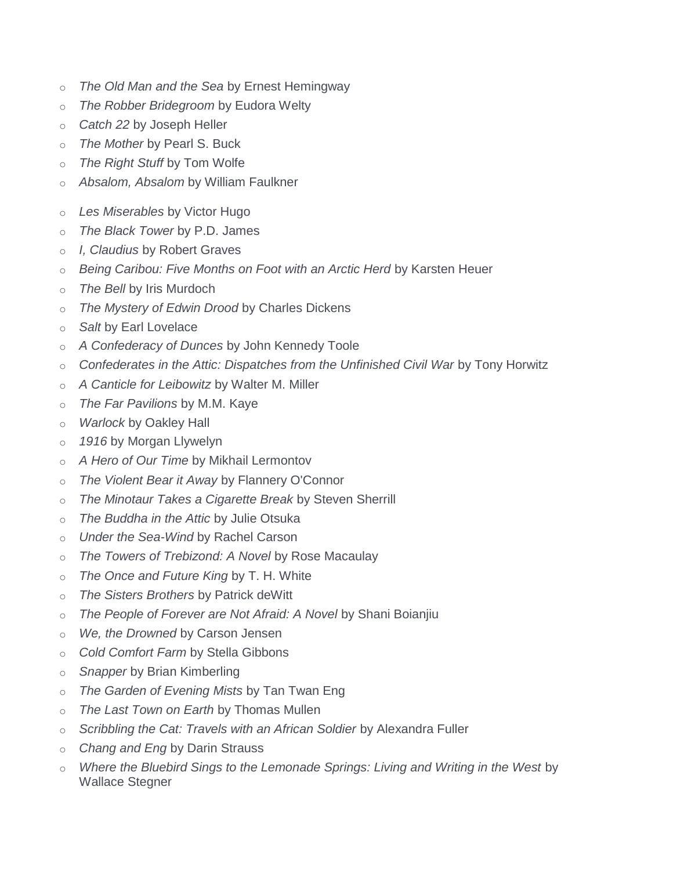- o *The Old Man and the Sea* by Ernest Hemingway
- o *The Robber Bridegroom* by Eudora Welty
- o *Catch 22* by Joseph Heller
- o *The Mother* by Pearl S. Buck
- o *The Right Stuff* by Tom Wolfe
- o *Absalom, Absalom* by William Faulkner
- o *Les Miserables* by Victor Hugo
- o *The Black Tower* by P.D. James
- o *I, Claudius* by Robert Graves
- o *Being Caribou: Five Months on Foot with an Arctic Herd* by Karsten Heuer
- o *The Bell* by Iris Murdoch
- o *The Mystery of Edwin Drood* by Charles Dickens
- o *Salt* by Earl Lovelace
- o *A Confederacy of Dunces* by John Kennedy Toole
- o *Confederates in the Attic: Dispatches from the Unfinished Civil War* by Tony Horwitz
- o *A Canticle for Leibowitz* by Walter M. Miller
- o *The Far Pavilions* by M.M. Kaye
- o *Warlock* by Oakley Hall
- o *1916* by Morgan Llywelyn
- o *A Hero of Our Time* by Mikhail Lermontov
- o *The Violent Bear it Away* by Flannery O'Connor
- o *The Minotaur Takes a Cigarette Break* by Steven Sherrill
- o *The Buddha in the Attic* by Julie Otsuka
- o *Under the Sea-Wind* by Rachel Carson
- o *The Towers of Trebizond: A Novel* by Rose Macaulay
- o *The Once and Future King* by T. H. White
- o *The Sisters Brothers* by Patrick deWitt
- o *The People of Forever are Not Afraid: A Novel* by Shani Boianjiu
- o *We, the Drowned* by Carson Jensen
- o *Cold Comfort Farm* by Stella Gibbons
- o *Snapper* by Brian Kimberling
- o *The Garden of Evening Mists* by Tan Twan Eng
- o *The Last Town on Earth* by Thomas Mullen
- o *Scribbling the Cat: Travels with an African Soldier* by Alexandra Fuller
- o *Chang and Eng* by Darin Strauss
- Where the Bluebird Sings to the Lemonade Springs: Living and Writing in the West by Wallace Stegner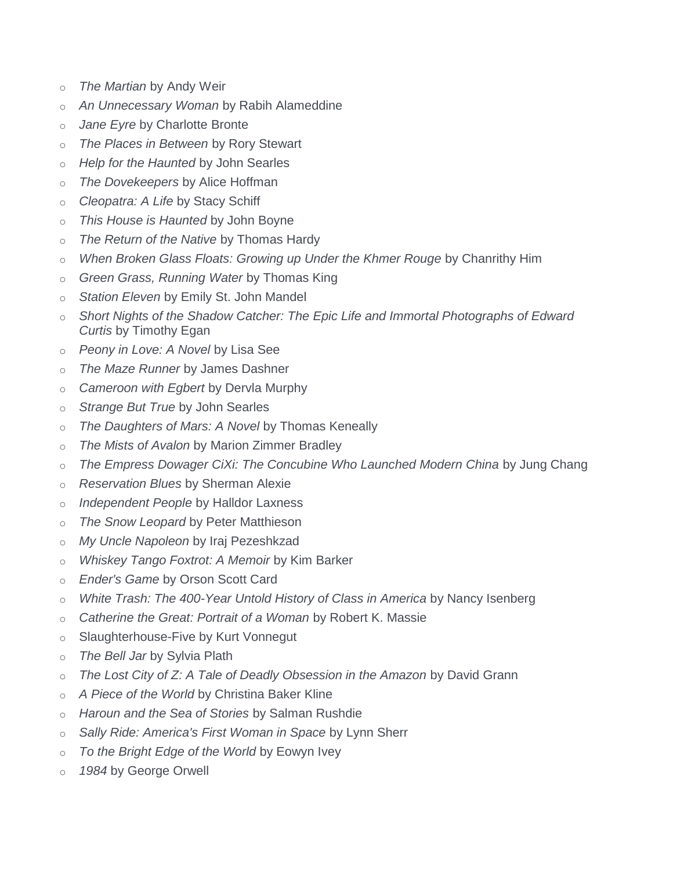- o *The Martian* by Andy Weir
- o *An Unnecessary Woman* by Rabih Alameddine
- o *Jane Eyre* by Charlotte Bronte
- o *The Places in Between* by Rory Stewart
- o *Help for the Haunted* by John Searles
- o *The Dovekeepers* by Alice Hoffman
- o *Cleopatra: A Life* by Stacy Schiff
- o *This House is Haunted* by John Boyne
- o *The Return of the Native* by Thomas Hardy
- o *When Broken Glass Floats: Growing up Under the Khmer Rouge* by Chanrithy Him
- o *Green Grass, Running Water* by Thomas King
- o *Station Eleven* by Emily St. John Mandel
- o *Short Nights of the Shadow Catcher: The Epic Life and Immortal Photographs of Edward Curtis* by Timothy Egan
- o *Peony in Love: A Novel* by Lisa See
- o *The Maze Runner* by James Dashner
- o *Cameroon with Egbert* by Dervla Murphy
- o *Strange But True* by John Searles
- o *The Daughters of Mars: A Novel* by Thomas Keneally
- o *The Mists of Avalon* by Marion Zimmer Bradley
- o *The Empress Dowager CiXi: The Concubine Who Launched Modern China* by Jung Chang
- o *Reservation Blues* by Sherman Alexie
- o *Independent People* by Halldor Laxness
- o *The Snow Leopard* by Peter Matthieson
- o *My Uncle Napoleon* by Iraj Pezeshkzad
- o *Whiskey Tango Foxtrot: A Memoir* by Kim Barker
- o *Ender's Game* by Orson Scott Card
- o *White Trash: The 400-Year Untold History of Class in America* by Nancy Isenberg
- o *Catherine the Great: Portrait of a Woman* by Robert K. Massie
- o Slaughterhouse-Five by Kurt Vonnegut
- o *The Bell Jar* by Sylvia Plath
- o *The Lost City of Z: A Tale of Deadly Obsession in the Amazon* by David Grann
- o *A Piece of the World* by Christina Baker Kline
- o *Haroun and the Sea of Stories* by Salman Rushdie
- o *Sally Ride: America's First Woman in Space* by Lynn Sherr
- o *To the Bright Edge of the World* by Eowyn Ivey
- o *1984* by George Orwell